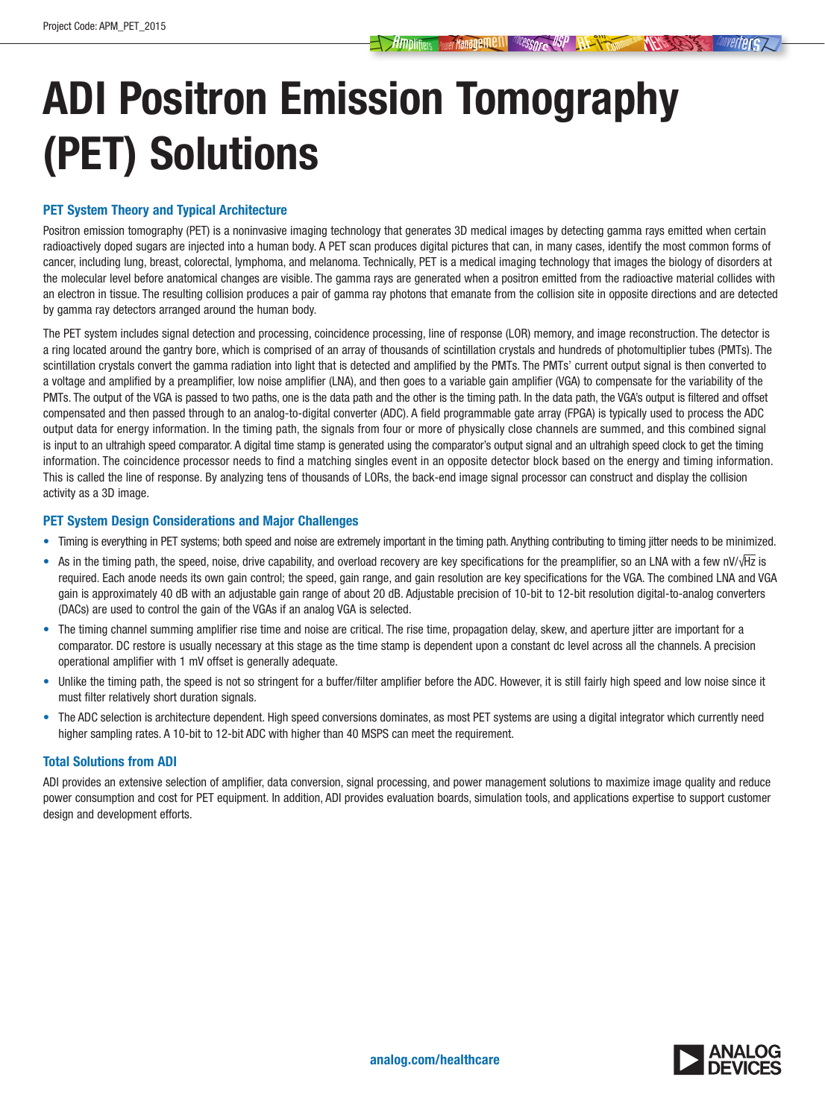# ADI Positron Emission Tomography (PET) Solutions

# PET System Theory and Typical Architecture

Positron emission tomography (PET) is a noninvasive imaging technology that generates 3D medical images by detecting gamma rays emitted when certain radioactively doped sugars are injected into a human body. A PET scan produces digital pictures that can, in many cases, identify the most common forms of cancer, including lung, breast, colorectal, lymphoma, and melanoma. Technically, PET is a medical imaging technology that images the biology of disorders at the molecular level before anatomical changes are visible. The gamma rays are generated when a positron emitted from the radioactive material collides with an electron in tissue. The resulting collision produces a pair of gamma ray photons that emanate from the collision site in opposite directions and are detected by gamma ray detectors arranged around the human body.

The PET system includes signal detection and processing, coincidence processing, line of response (LOR) memory, and image reconstruction. The detector is a ring located around the gantry bore, which is comprised of an array of thousands of scintillation crystals and hundreds of photomultiplier tubes (PMTs). The scintillation crystals convert the gamma radiation into light that is detected and amplified by the PMTs. The PMTs' current output signal is then converted to a voltage and amplified by a preamplifier, low noise amplifier (LNA), and then goes to a variable gain amplifier (VGA) to compensate for the variability of the PMTs. The output of the VGA is passed to two paths, one is the data path and the other is the timing path. In the data path, the VGA's output is filtered and offset compensated and then passed through to an analog-to-digital converter (ADC). A field programmable gate array (FPGA) is typically used to process the ADC output data for energy information. In the timing path, the signals from four or more of physically close channels are summed, and this combined signal is input to an ultrahigh speed comparator. A digital time stamp is generated using the comparator's output signal and an ultrahigh speed clock to get the timing information. The coincidence processor needs to find a matching singles event in an opposite detector block based on the energy and timing information. This is called the line of response. By analyzing tens of thousands of LORs, the back-end image signal processor can construct and display the collision activity as a 3D image.

### PET System Design Considerations and Major Challenges

- Timing is everything in PET systems; both speed and noise are extremely important in the timing path. Anything contributing to timing jitter needs to be minimized.
- As in the timing path, the speed, noise, drive capability, and overload recovery are key specifications for the preamplifier, so an LNA with a few nV/√Hz is required. Each anode needs its own gain control; the speed, gain range, and gain resolution are key specifications for the VGA. The combined LNA and VGA gain is approximately 40 dB with an adjustable gain range of about 20 dB. Adjustable precision of 10-bit to 12-bit resolution digital-to-analog converters (DACs) are used to control the gain of the VGAs if an analog VGA is selected.
- The timing channel summing amplifier rise time and noise are critical. The rise time, propagation delay, skew, and aperture jitter are important for a comparator. DC restore is usually necessary at this stage as the time stamp is dependent upon a constant dc level across all the channels. A precision operational amplifier with 1 mV offset is generally adequate.
- Unlike the timing path, the speed is not so stringent for a buffer/filter amplifier before the ADC. However, it is still fairly high speed and low noise since it must filter relatively short duration signals.
- The ADC selection is architecture dependent. High speed conversions dominates, as most PET systems are using a digital integrator which currently need higher sampling rates. A 10-bit to 12-bit ADC with higher than 40 MSPS can meet the requirement.

## Total Solutions from ADI

ADI provides an extensive selection of amplifier, data conversion, signal processing, and power management solutions to maximize image quality and reduce power consumption and cost for PET equipment. In addition, ADI provides evaluation boards, simulation tools, and applications expertise to support customer design and development efforts.

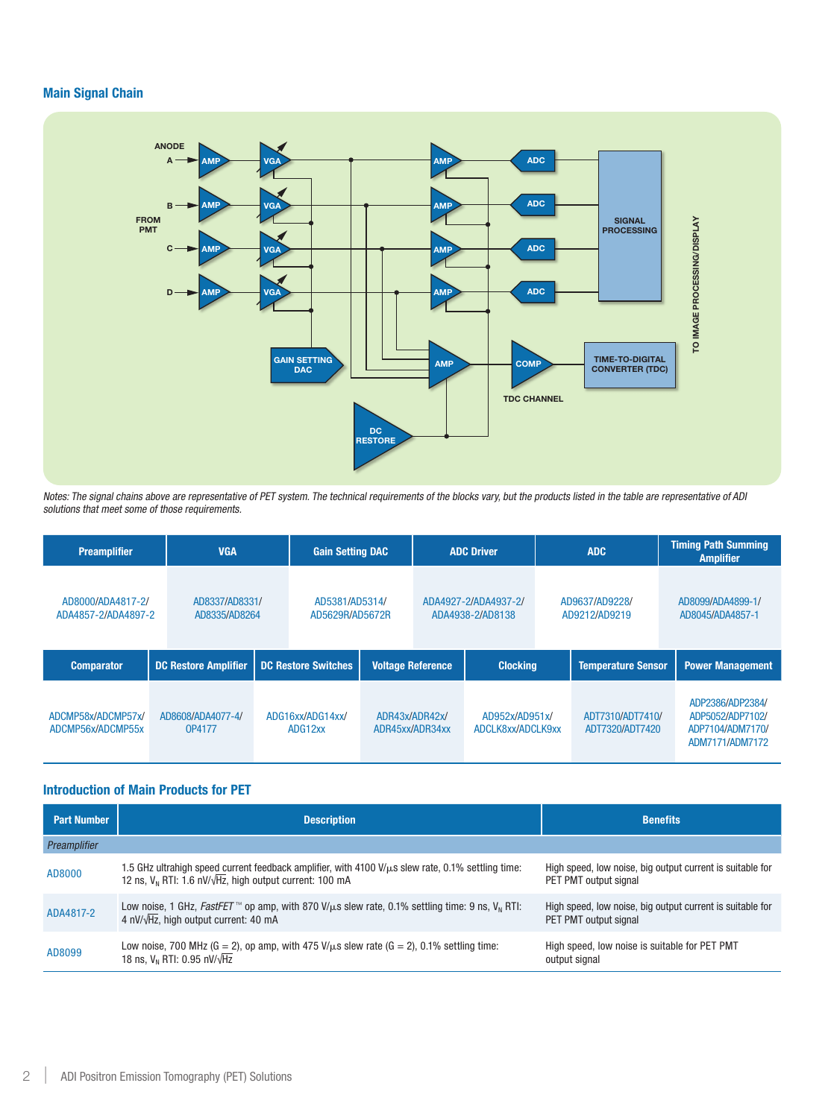# Main Signal Chain



Notes: The signal chains above are representative of PET system. The technical requirements of the blocks vary, but the products listed in the table are representative of ADI solutions that meet some of those requirements.

| <b>Preamplifier</b>                                                    |  | <b>VGA</b>                      |                             | <b>Gain Setting DAC</b>           |                 | <b>ADC Driver</b>                        |                 | <b>ADC</b>                          |                                                                             | <b>Timing Path Summing</b><br><b>Amplifier</b> |
|------------------------------------------------------------------------|--|---------------------------------|-----------------------------|-----------------------------------|-----------------|------------------------------------------|-----------------|-------------------------------------|-----------------------------------------------------------------------------|------------------------------------------------|
| AD8000/ADA4817-2/<br>ADA4857-2/ADA4897-2                               |  | AD8337/AD8331/<br>AD8335/AD8264 |                             | AD5381/AD5314/<br>AD5629R/AD5672R |                 | ADA4927-2/ADA4937-2/<br>ADA4938-2/AD8138 |                 | AD9637/AD9228/<br>AD9212/AD9219     |                                                                             | AD8099/ADA4899-1/<br>AD8045/ADA4857-1          |
| <b>Comparator</b>                                                      |  | <b>DC Restore Amplifier</b>     |                             | <b>DC Restore Switches</b>        |                 | <b>Voltage Reference</b>                 | <b>Clocking</b> |                                     | <b>Temperature Sensor</b>                                                   | <b>Power Management</b>                        |
| ADCMP58x/ADCMP57x/<br>AD8608/ADA4077-4/<br>ADCMP56x/ADCMP55x<br>0P4177 |  |                                 | ADG16xx/ADG14xx/<br>ADG12xx | ADR43x/ADR42x/                    | ADR45xx/ADR34xx | AD952x/AD951x/<br>ADCLK8xx/ADCLK9xx      |                 | ADT7310/ADT7410/<br>ADT7320/ADT7420 | ADP2386/ADP2384/<br>ADP5052/ADP7102/<br>ADP7104/ADM7170/<br>ADM7171/ADM7172 |                                                |

# Introduction of Main Products for PET

| <b>Part Number</b> | <b>Description</b>                                                                                                                                                              | <b>Benefits</b>                                                                    |  |
|--------------------|---------------------------------------------------------------------------------------------------------------------------------------------------------------------------------|------------------------------------------------------------------------------------|--|
| Preamplifier       |                                                                                                                                                                                 |                                                                                    |  |
| AD8000             | 1.5 GHz ultrahigh speed current feedback amplifier, with 4100 $V/\mu$ s slew rate, 0.1% settling time:<br>12 ns, $V_{N}$ RTI: 1.6 nV/ $\sqrt{Hz}$ , high output current: 100 mA | High speed, low noise, big output current is suitable for<br>PET PMT output signal |  |
| ADA4817-2          | Low noise, 1 GHz, FastFET™ op amp, with 870 V/ $\mu$ s slew rate, 0.1% settling time: 9 ns, V <sub>N</sub> RTI:<br>4 nV/ $\sqrt{Hz}$ , high output current: 40 mA               | High speed, low noise, big output current is suitable for<br>PET PMT output signal |  |
| AD8099             | Low noise, 700 MHz (G = 2), op amp, with 475 V/ $\mu$ s slew rate (G = 2), 0.1% settling time:<br>18 ns, $V_{N}$ RTI: 0.95 nV/ $\sqrt{Hz}$                                      | High speed, low noise is suitable for PET PMT<br>output signal                     |  |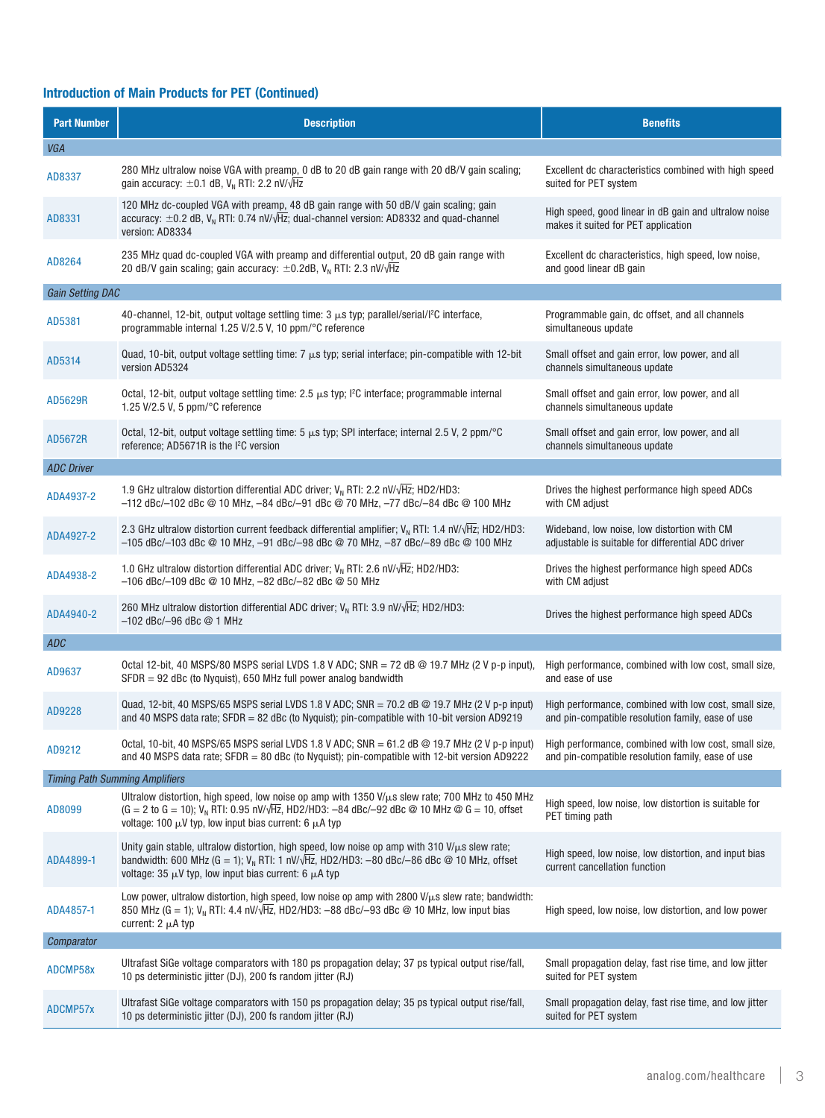# Introduction of Main Products for PET (Continued)

| <b>Part Number</b>      | <b>Description</b>                                                                                                                                                                                                                                                                         | <b>Benefits</b>                                                                                            |  |  |  |  |
|-------------------------|--------------------------------------------------------------------------------------------------------------------------------------------------------------------------------------------------------------------------------------------------------------------------------------------|------------------------------------------------------------------------------------------------------------|--|--|--|--|
| <b>VGA</b>              |                                                                                                                                                                                                                                                                                            |                                                                                                            |  |  |  |  |
| AD8337                  | 280 MHz ultralow noise VGA with preamp, 0 dB to 20 dB gain range with 20 dB/V gain scaling;<br>gain accuracy: $\pm 0.1$ dB, V <sub>N</sub> RTI: 2.2 nV/ $\sqrt{Hz}$                                                                                                                        | Excellent dc characteristics combined with high speed<br>suited for PET system                             |  |  |  |  |
| AD8331                  | 120 MHz dc-coupled VGA with preamp, 48 dB gain range with 50 dB/V gain scaling; gain<br>accuracy: $\pm$ 0.2 dB, V <sub>N</sub> RTI: 0.74 nV/ $\sqrt{Hz}$ ; dual-channel version: AD8332 and quad-channel<br>version: AD8334                                                                | High speed, good linear in dB gain and ultralow noise<br>makes it suited for PET application               |  |  |  |  |
| AD8264                  | 235 MHz quad dc-coupled VGA with preamp and differential output, 20 dB gain range with<br>20 dB/V gain scaling; gain accuracy: $\pm$ 0.2dB, V <sub>N</sub> RTI: 2.3 nV/ $\sqrt{Hz}$                                                                                                        | Excellent dc characteristics, high speed, low noise,<br>and good linear dB gain                            |  |  |  |  |
| <b>Gain Setting DAC</b> |                                                                                                                                                                                                                                                                                            |                                                                                                            |  |  |  |  |
| AD5381                  | 40-channel, 12-bit, output voltage settling time: $3 \mu s$ typ; parallel/serial/l <sup>2</sup> C interface,<br>programmable internal 1.25 V/2.5 V, 10 ppm/°C reference                                                                                                                    | Programmable gain, dc offset, and all channels<br>simultaneous update                                      |  |  |  |  |
| AD5314                  | Quad, 10-bit, output voltage settling time: $7 \mu s$ typ; serial interface; pin-compatible with 12-bit<br>version AD5324                                                                                                                                                                  | Small offset and gain error, low power, and all<br>channels simultaneous update                            |  |  |  |  |
| AD5629R                 | Octal, 12-bit, output voltage settling time: 2.5 $\mu$ s typ; l <sup>2</sup> C interface; programmable internal<br>1.25 V/2.5 V, 5 ppm/°C reference                                                                                                                                        | Small offset and gain error, low power, and all<br>channels simultaneous update                            |  |  |  |  |
| AD5672R                 | Octal, 12-bit, output voltage settling time: 5 $\mu$ s typ; SPI interface; internal 2.5 V, 2 ppm/°C<br>reference; AD5671R is the I <sup>2</sup> C version                                                                                                                                  | Small offset and gain error, low power, and all<br>channels simultaneous update                            |  |  |  |  |
| <b>ADC Driver</b>       |                                                                                                                                                                                                                                                                                            |                                                                                                            |  |  |  |  |
| ADA4937-2               | 1.9 GHz ultralow distortion differential ADC driver; $V_w$ RTI: 2.2 nV/ $\sqrt{Hz}$ ; HD2/HD3:<br>-112 dBc/-102 dBc @ 10 MHz, -84 dBc/-91 dBc @ 70 MHz, -77 dBc/-84 dBc @ 100 MHz                                                                                                          | Drives the highest performance high speed ADCs<br>with CM adjust                                           |  |  |  |  |
| ADA4927-2               | 2.3 GHz ultralow distortion current feedback differential amplifier; $V_N$ RTI: 1.4 nV/ $\sqrt{Hz}$ ; HD2/HD3:<br>-105 dBc/-103 dBc @ 10 MHz, -91 dBc/-98 dBc @ 70 MHz, -87 dBc/-89 dBc @ 100 MHz                                                                                          | Wideband, low noise, low distortion with CM<br>adjustable is suitable for differential ADC driver          |  |  |  |  |
| ADA4938-2               | 1.0 GHz ultralow distortion differential ADC driver; $V_N$ RTI: 2.6 nV/ $\sqrt{Hz}$ ; HD2/HD3:<br>-106 dBc/-109 dBc @ 10 MHz, -82 dBc/-82 dBc @ 50 MHz                                                                                                                                     | Drives the highest performance high speed ADCs<br>with CM adjust                                           |  |  |  |  |
| ADA4940-2               | 260 MHz ultralow distortion differential ADC driver; $V_N$ RTI: 3.9 nV/ $\sqrt{Hz}$ ; HD2/HD3:<br>$-102$ dBc/ $-96$ dBc $@$ 1 MHz                                                                                                                                                          | Drives the highest performance high speed ADCs                                                             |  |  |  |  |
| <b>ADC</b>              |                                                                                                                                                                                                                                                                                            |                                                                                                            |  |  |  |  |
| AD9637                  | Octal 12-bit, 40 MSPS/80 MSPS serial LVDS 1.8 V ADC; SNR = 72 dB @ 19.7 MHz (2 V p-p input),<br>$SFDR = 92$ dBc (to Nyquist), 650 MHz full power analog bandwidth                                                                                                                          | High performance, combined with low cost, small size,<br>and ease of use                                   |  |  |  |  |
| AD9228                  | Quad, 12-bit, 40 MSPS/65 MSPS serial LVDS 1.8 V ADC; SNR = 70.2 dB $\textcircled{2}$ 19.7 MHz (2 V p-p input)<br>and 40 MSPS data rate; SFDR = 82 dBc (to Nyquist); pin-compatible with 10-bit version AD9219                                                                              | High performance, combined with low cost, small size,<br>and pin-compatible resolution family, ease of use |  |  |  |  |
| AD9212                  | Octal, 10-bit, 40 MSPS/65 MSPS serial LVDS 1.8 V ADC; SNR = 61.2 dB $\textcircled{2}$ 19.7 MHz (2 V p-p input)<br>and 40 MSPS data rate; $SFDR = 80$ dBc (to Nyquist); pin-compatible with 12-bit version AD9222                                                                           | High performance, combined with low cost, small size,<br>and pin-compatible resolution family, ease of use |  |  |  |  |
|                         | <b>Timing Path Summing Amplifiers</b>                                                                                                                                                                                                                                                      |                                                                                                            |  |  |  |  |
| AD8099                  | Ultralow distortion, high speed, low noise op amp with 1350 V/ $\mu$ s slew rate; 700 MHz to 450 MHz<br>$(G = 2$ to $G = 10)$ ; $V_M$ RTI: 0.95 nV/ $\sqrt{Hz}$ , HD2/HD3: -84 dBc/-92 dBc @ 10 MHz @ $G = 10$ , offset<br>voltage: 100 $\mu$ V typ, low input bias current: 6 $\mu$ A typ | High speed, low noise, low distortion is suitable for<br>PET timing path                                   |  |  |  |  |
| ADA4899-1               | Unity gain stable, ultralow distortion, high speed, low noise op amp with 310 $V/\mu s$ slew rate;<br>bandwidth: 600 MHz (G = 1); $V_N$ RTI: 1 nV/ $\sqrt{Hz}$ , HD2/HD3: -80 dBc/-86 dBc @ 10 MHz, offset<br>voltage: 35 $\mu$ V typ, low input bias current: 6 $\mu$ A typ               | High speed, low noise, low distortion, and input bias<br>current cancellation function                     |  |  |  |  |
| ADA4857-1               | Low power, ultralow distortion, high speed, low noise op amp with 2800 $V/\mu s$ slew rate; bandwidth:<br>850 MHz (G = 1); $V_N$ RTI: 4.4 nV/ $\sqrt{Hz}$ , HD2/HD3: -88 dBc/-93 dBc @ 10 MHz, low input bias<br>current: $2 \mu A$ typ                                                    | High speed, low noise, low distortion, and low power                                                       |  |  |  |  |
| Comparator              |                                                                                                                                                                                                                                                                                            |                                                                                                            |  |  |  |  |
| ADCMP58x                | Ultrafast SiGe voltage comparators with 180 ps propagation delay; 37 ps typical output rise/fall,<br>10 ps deterministic jitter (DJ), 200 fs random jitter (RJ)                                                                                                                            | Small propagation delay, fast rise time, and low jitter<br>suited for PET system                           |  |  |  |  |
| ADCMP57x                | Ultrafast SiGe voltage comparators with 150 ps propagation delay; 35 ps typical output rise/fall,<br>10 ps deterministic jitter (DJ), 200 fs random jitter (RJ)                                                                                                                            | Small propagation delay, fast rise time, and low jitter<br>suited for PET system                           |  |  |  |  |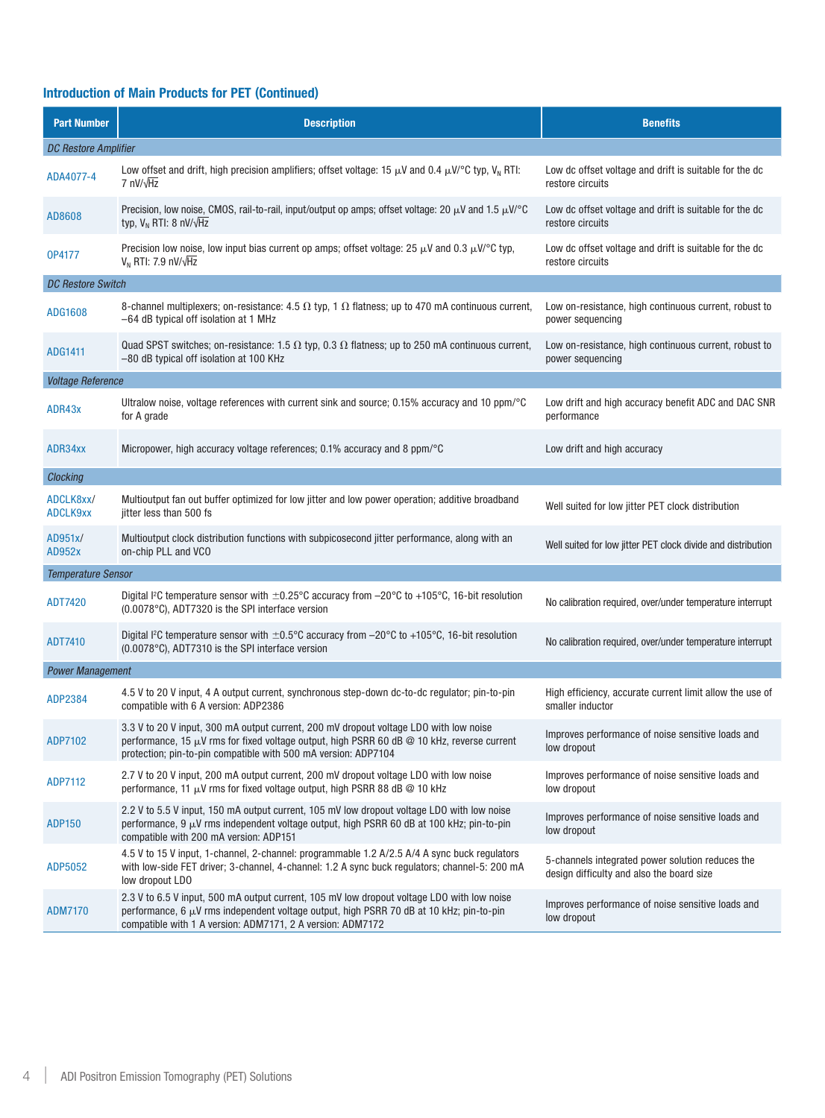# Introduction of Main Products for PET (Continued)

| <b>Part Number</b>          | <b>Description</b>                                                                                                                                                                                                                                    | <b>Benefits</b>                                                                               |  |  |  |  |
|-----------------------------|-------------------------------------------------------------------------------------------------------------------------------------------------------------------------------------------------------------------------------------------------------|-----------------------------------------------------------------------------------------------|--|--|--|--|
| <b>DC Restore Amplifier</b> |                                                                                                                                                                                                                                                       |                                                                                               |  |  |  |  |
| ADA4077-4                   | Low offset and drift, high precision amplifiers; offset voltage: 15 $\mu$ V and 0.4 $\mu$ V/°C typ, V <sub>N</sub> RTI:<br>7 $nV/\sqrt{Hz}$                                                                                                           | Low dc offset voltage and drift is suitable for the dc<br>restore circuits                    |  |  |  |  |
| AD8608                      | Precision, low noise, CMOS, rail-to-rail, input/output op amps; offset voltage: 20 $\mu$ V and 1.5 $\mu$ V/°C<br>typ, $V_N$ RTI: 8 nV/ $\sqrt{Hz}$                                                                                                    | Low dc offset voltage and drift is suitable for the dc<br>restore circuits                    |  |  |  |  |
| 0P4177                      | Precision low noise, low input bias current op amps; offset voltage: 25 $\mu$ V and 0.3 $\mu$ V/°C typ,<br>$V_N$ RTI: 7.9 nV/ $\sqrt{Hz}$                                                                                                             | Low dc offset voltage and drift is suitable for the dc<br>restore circuits                    |  |  |  |  |
| <b>DC Restore Switch</b>    |                                                                                                                                                                                                                                                       |                                                                                               |  |  |  |  |
| ADG1608                     | 8-channel multiplexers; on-resistance: 4.5 $\Omega$ typ, 1 $\Omega$ flatness; up to 470 mA continuous current,<br>-64 dB typical off isolation at 1 MHz                                                                                               | Low on-resistance, high continuous current, robust to<br>power sequencing                     |  |  |  |  |
| ADG1411                     | Quad SPST switches; on-resistance: 1.5 $\Omega$ typ, 0.3 $\Omega$ flatness; up to 250 mA continuous current,<br>-80 dB typical off isolation at 100 KHz                                                                                               | Low on-resistance, high continuous current, robust to<br>power sequencing                     |  |  |  |  |
| <b>Voltage Reference</b>    |                                                                                                                                                                                                                                                       |                                                                                               |  |  |  |  |
| ADR43x                      | Ultralow noise, voltage references with current sink and source; 0.15% accuracy and 10 ppm/°C<br>for A grade                                                                                                                                          | Low drift and high accuracy benefit ADC and DAC SNR<br>performance                            |  |  |  |  |
| ADR34xx                     | Micropower, high accuracy voltage references; 0.1% accuracy and 8 ppm/°C                                                                                                                                                                              | Low drift and high accuracy                                                                   |  |  |  |  |
| Clocking                    |                                                                                                                                                                                                                                                       |                                                                                               |  |  |  |  |
| ADCLK8xx/<br>ADCLK9xx       | Multioutput fan out buffer optimized for low jitter and low power operation; additive broadband<br>jitter less than 500 fs                                                                                                                            | Well suited for low jitter PET clock distribution                                             |  |  |  |  |
| AD951x/<br>AD952x           | Multioutput clock distribution functions with subpicosecond jitter performance, along with an<br>on-chip PLL and VCO                                                                                                                                  | Well suited for low jitter PET clock divide and distribution                                  |  |  |  |  |
| <b>Temperature Sensor</b>   |                                                                                                                                                                                                                                                       |                                                                                               |  |  |  |  |
| ADT7420                     | Digital I <sup>2</sup> C temperature sensor with $\pm$ 0.25°C accuracy from -20°C to +105°C, 16-bit resolution<br>(0.0078°C), ADT7320 is the SPI interface version                                                                                    | No calibration required, over/under temperature interrupt                                     |  |  |  |  |
| ADT7410                     | Digital I <sup>2</sup> C temperature sensor with $\pm 0.5^{\circ}$ C accuracy from -20°C to +105°C, 16-bit resolution<br>(0.0078°C), ADT7310 is the SPI interface version                                                                             | No calibration required, over/under temperature interrupt                                     |  |  |  |  |
| <b>Power Management</b>     |                                                                                                                                                                                                                                                       |                                                                                               |  |  |  |  |
| ADP2384                     | 4.5 V to 20 V input, 4 A output current, synchronous step-down dc-to-dc regulator; pin-to-pin<br>compatible with 6 A version: ADP2386                                                                                                                 | High efficiency, accurate current limit allow the use of<br>smaller inductor                  |  |  |  |  |
| ADP7102                     | 3.3 V to 20 V input, 300 mA output current, 200 mV dropout voltage LDO with low noise<br>performance, 15 μV rms for fixed voltage output, high PSRR 60 dB @ 10 kHz, reverse current<br>protection; pin-to-pin compatible with 500 mA version: ADP7104 | Improves performance of noise sensitive loads and<br>low dropout                              |  |  |  |  |
| ADP7112                     | 2.7 V to 20 V input, 200 mA output current, 200 mV dropout voltage LDO with low noise<br>performance, 11 $\mu$ V rms for fixed voltage output, high PSRR 88 dB $\textcircled{2}$ 10 kHz                                                               | Improves performance of noise sensitive loads and<br>low dropout                              |  |  |  |  |
| <b>ADP150</b>               | 2.2 V to 5.5 V input, 150 mA output current, 105 mV low dropout voltage LDO with low noise<br>performance, $9 \mu V$ rms independent voltage output, high PSRR 60 dB at 100 kHz; pin-to-pin<br>compatible with 200 mA version: ADP151                 | Improves performance of noise sensitive loads and<br>low dropout                              |  |  |  |  |
| ADP5052                     | 4.5 V to 15 V input, 1-channel, 2-channel: programmable 1.2 A/2.5 A/4 A sync buck regulators<br>with low-side FET driver; 3-channel, 4-channel: 1.2 A sync buck regulators; channel-5: 200 mA<br>low dropout LDO                                      | 5-channels integrated power solution reduces the<br>design difficulty and also the board size |  |  |  |  |
| <b>ADM7170</b>              | 2.3 V to 6.5 V input, 500 mA output current, 105 mV low dropout voltage LDO with low noise<br>performance, 6 μV rms independent voltage output, high PSRR 70 dB at 10 kHz; pin-to-pin<br>compatible with 1 A version: ADM7171, 2 A version: ADM7172   | Improves performance of noise sensitive loads and<br>low dropout                              |  |  |  |  |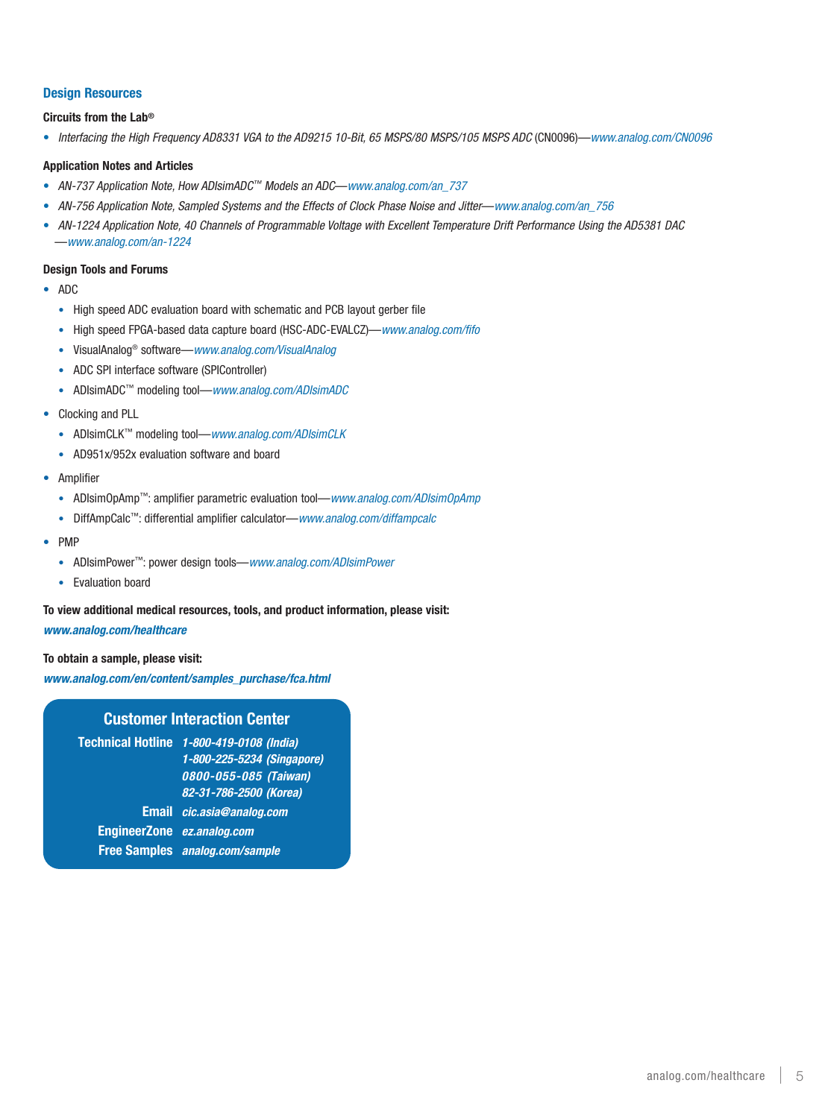#### Design Resources

#### Circuits from the Lab®

• *Interfacing the High Frequency AD8331 VGA to the AD9215 10-Bit, 65 MSPS/80 MSPS/105 MSPS ADC* (CN0096)—*www.analog.com/CN0096* 

#### Application Notes and Articles

- AN-737 Application Note, How ADIsimADC™ Models an ADC—*www.analog.com/an\_737*
- *AN-756 Application Note, Sampled Systems and the Effects of Clock Phase Noise and Jitter*—*www.analog.com/an\_756*
- *AN-1224 Application Note, 40 Channels of Programmable Voltage with Excellent Temperature Drift Performance Using the AD5381 DAC* —*www.analog.com/an-1224*

#### Design Tools and Forums

- ADC
	- High speed ADC evaluation board with schematic and PCB layout gerber file
	- High speed FPGA-based data capture board (HSC-ADC-EVALCZ)—*www.analog.com/fifo*
	- VisualAnalog® software—*www.analog.com/VisualAnalog*
	- ADC SPI interface software (SPIController)
	- ADIsimADC™ modeling tool—*[www.analog.com/ADIsimADC](http://www.analog.com/en/design-center/advanced-selection-and-design-tools/interactive-design-tools/visualanalog.html)*
- Clocking and PLL
	- ADIsimCLK™ modeling tool—*[www.analog.com/ADIsimCLK](http://www.analog.com/en/design-center/advanced-selection-and-design-tools/interactive-design-tools/adisimadc.html)*
	- AD951x/952x evaluation software and board
- Amplifier
	- ADIsimOpAmp™: amplifier parametric evaluation tool—*www.analog.com/ADIsimOpAmp*
	- DiffAmpCalc™: differential amplifier calculator—*www.analog.com/diffampcalc*
- PMP
	- ADIsimPower™: power design tools—*www.analog.com/ADIsimPower*
	- Evaluation board

#### To view additional medical resources, tools, and product information, please visit:

#### *www.analog.com/healthcare*

#### To obtain a sample, please visit:

*[www.analog.com/en/content/samples\\_purchase/fca.html](www.analog.com/en/content/samples_purchase/fca.html)*

## Customer Interaction Center

Technical Hotline *1-800-419-0108 (India)* Email *[cic.asia@analog.com](mailto:cic.asia@analog.com)* EngineerZone *<ez.analog.com>* Free Samples *<analog.com/sample> 1-800-225-5234 (Singapore) 0800-055-085 (Taiwan) 82-31-786-2500 (Korea)*